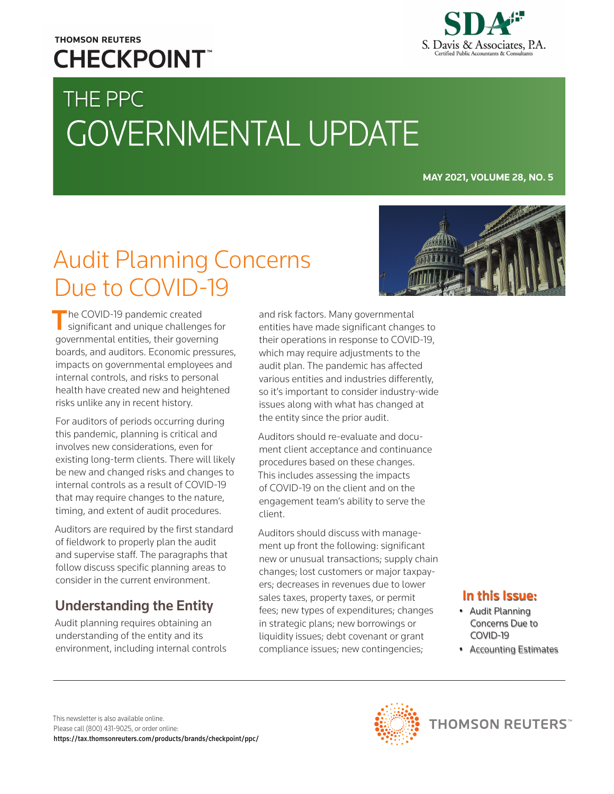## **THOMSON REUTERS CHECKPOINT**

# THE PPC GOVERNMENTAL UPDATE



#### **MAY 2021, VOLUME 28, NO. 5**

## Audit Planning Concerns Due to COVID-19

The COVID-19 pandemic created significant and unique challenges for governmental entities, their governing boards, and auditors. Economic pressures, impacts on governmental employees and internal controls, and risks to personal health have created new and heightened risks unlike any in recent history.

For auditors of periods occurring during this pandemic, planning is critical and involves new considerations, even for existing long-term clients. There will likely be new and changed risks and changes to internal controls as a result of COVID-19 that may require changes to the nature, timing, and extent of audit procedures.

Auditors are required by the first standard of fieldwork to properly plan the audit and supervise staff. The paragraphs that follow discuss specific planning areas to consider in the current environment.

## Understanding the Entity

Audit planning requires obtaining an understanding of the entity and its environment, including internal controls and risk factors. Many governmental entities have made significant changes to their operations in response to COVID-19, which may require adjustments to the audit plan. The pandemic has affected various entities and industries differently, so it's important to consider industry-wide issues along with what has changed at the entity since the prior audit.

Auditors should re-evaluate and document client acceptance and continuance procedures based on these changes. This includes assessing the impacts of COVID-19 on the client and on the engagement team's ability to serve the client.

Auditors should discuss with management up front the following: significant new or unusual transactions; supply chain changes; lost customers or major taxpayers; decreases in revenues due to lower sales taxes, property taxes, or permit fees; new types of expenditures; changes in strategic plans; new borrowings or liquidity issues; debt covenant or grant compliance issues; new contingencies;



#### In this Issue:

- Audit Planning Concerns Due to COVID-19
- Accounting Estimates



**THOMSON REUTERS**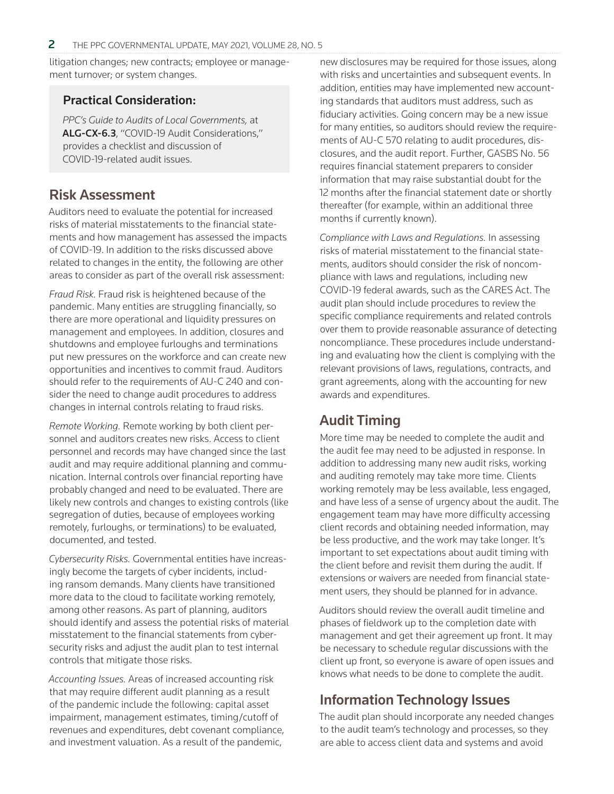litigation changes; new contracts; employee or management turnover; or system changes.

#### Practical Consideration:

*PPC's Guide to Audits of Local Governments,* at [ALG-CX-6.3](https://checkpoint.riag.com/app/main/externalDoc?usid=668do1ceee&DocID=iPPCALG%3A2021f7734317af54c39&docTid=T0PPCALG%3A2021f7734317af54c39-1&feature=ttoc&lastCpReqId=2cd079), "COVID-19 Audit Considerations," provides a checklist and discussion of COVID-19-related audit issues.

#### Risk Assessment

Auditors need to evaluate the potential for increased risks of material misstatements to the financial statements and how management has assessed the impacts of COVID-19. In addition to the risks discussed above related to changes in the entity, the following are other areas to consider as part of the overall risk assessment:

*Fraud Risk.* Fraud risk is heightened because of the pandemic. Many entities are struggling financially, so there are more operational and liquidity pressures on management and employees. In addition, closures and shutdowns and employee furloughs and terminations put new pressures on the workforce and can create new opportunities and incentives to commit fraud. Auditors should refer to the requirements of AU-C 240 and consider the need to change audit procedures to address changes in internal controls relating to fraud risks.

*Remote Working.* Remote working by both client personnel and auditors creates new risks. Access to client personnel and records may have changed since the last audit and may require additional planning and communication. Internal controls over financial reporting have probably changed and need to be evaluated. There are likely new controls and changes to existing controls (like segregation of duties, because of employees working remotely, furloughs, or terminations) to be evaluated, documented, and tested.

*Cybersecurity Risks.* Governmental entities have increasingly become the targets of cyber incidents, including ransom demands. Many clients have transitioned more data to the cloud to facilitate working remotely, among other reasons. As part of planning, auditors should identify and assess the potential risks of material misstatement to the financial statements from cybersecurity risks and adjust the audit plan to test internal controls that mitigate those risks.

*Accounting Issues.* Areas of increased accounting risk that may require different audit planning as a result of the pandemic include the following: capital asset impairment, management estimates, timing/cutoff of revenues and expenditures, debt covenant compliance, and investment valuation. As a result of the pandemic,

new disclosures may be required for those issues, along with risks and uncertainties and subsequent events. In addition, entities may have implemented new accounting standards that auditors must address, such as fiduciary activities. Going concern may be a new issue for many entities, so auditors should review the requirements of AU-C 570 relating to audit procedures, disclosures, and the audit report. Further, GASBS No. 56 requires financial statement preparers to consider information that may raise substantial doubt for the 12 months after the financial statement date or shortly thereafter (for example, within an additional three months if currently known).

*Compliance with Laws and Regulations.* In assessing risks of material misstatement to the financial statements, auditors should consider the risk of noncompliance with laws and regulations, including new COVID-19 federal awards, such as the CARES Act. The audit plan should include procedures to review the specific compliance requirements and related controls over them to provide reasonable assurance of detecting noncompliance. These procedures include understanding and evaluating how the client is complying with the relevant provisions of laws, regulations, contracts, and grant agreements, along with the accounting for new awards and expenditures.

## Audit Timing

More time may be needed to complete the audit and the audit fee may need to be adjusted in response. In addition to addressing many new audit risks, working and auditing remotely may take more time. Clients working remotely may be less available, less engaged, and have less of a sense of urgency about the audit. The engagement team may have more difficulty accessing client records and obtaining needed information, may be less productive, and the work may take longer. It's important to set expectations about audit timing with the client before and revisit them during the audit. If extensions or waivers are needed from financial statement users, they should be planned for in advance.

Auditors should review the overall audit timeline and phases of fieldwork up to the completion date with management and get their agreement up front. It may be necessary to schedule regular discussions with the client up front, so everyone is aware of open issues and knows what needs to be done to complete the audit.

## Information Technology Issues

The audit plan should incorporate any needed changes to the audit team's technology and processes, so they are able to access client data and systems and avoid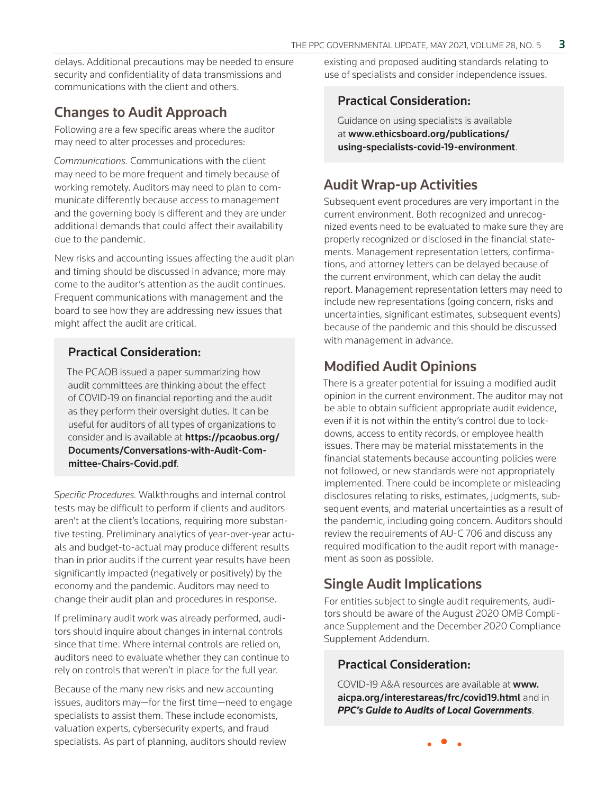delays. Additional precautions may be needed to ensure security and confidentiality of data transmissions and communications with the client and others.

### Changes to Audit Approach

Following are a few specific areas where the auditor may need to alter processes and procedures:

*Communications.* Communications with the client may need to be more frequent and timely because of working remotely. Auditors may need to plan to communicate differently because access to management and the governing body is different and they are under additional demands that could affect their availability due to the pandemic.

New risks and accounting issues affecting the audit plan and timing should be discussed in advance; more may come to the auditor's attention as the audit continues. Frequent communications with management and the board to see how they are addressing new issues that might affect the audit are critical.

#### Practical Consideration:

The PCAOB issued a paper summarizing how audit committees are thinking about the effect of COVID-19 on financial reporting and the audit as they perform their oversight duties. It can be useful for auditors of all types of organizations to consider and is available at https://pcaobus.org/ [Documents/Conversations-with-Audit-Com](https://pcaobus.org/Documents/Conversations-with-Audit-Committee-Chairs-Covid.pdf)mittee-Chairs-Covid.pdf.

*Specific Procedures.* Walkthroughs and internal control tests may be difficult to perform if clients and auditors aren't at the client's locations, requiring more substantive testing. Preliminary analytics of year-over-year actuals and budget-to-actual may produce different results than in prior audits if the current year results have been significantly impacted (negatively or positively) by the economy and the pandemic. Auditors may need to change their audit plan and procedures in response.

If preliminary audit work was already performed, auditors should inquire about changes in internal controls since that time. Where internal controls are relied on, auditors need to evaluate whether they can continue to rely on controls that weren't in place for the full year.

Because of the many new risks and new accounting issues, auditors may—for the first time—need to engage specialists to assist them. These include economists, valuation experts, cybersecurity experts, and fraud specialists. As part of planning, auditors should review

existing and proposed auditing standards relating to use of specialists and consider independence issues.

#### Practical Consideration:

Guidance on using specialists is available at www.ethicsboard.org/publications/ [using-specialists-covid-19-environment](https://www.ethicsboard.org/publications/using-specialists-covid-19-environment).

### Audit Wrap-up Activities

Subsequent event procedures are very important in the current environment. Both recognized and unrecognized events need to be evaluated to make sure they are properly recognized or disclosed in the financial statements. Management representation letters, confirmations, and attorney letters can be delayed because of the current environment, which can delay the audit report. Management representation letters may need to include new representations (going concern, risks and uncertainties, significant estimates, subsequent events) because of the pandemic and this should be discussed with management in advance.

### Modified Audit Opinions

There is a greater potential for issuing a modified audit opinion in the current environment. The auditor may not be able to obtain sufficient appropriate audit evidence, even if it is not within the entity's control due to lockdowns, access to entity records, or employee health issues. There may be material misstatements in the financial statements because accounting policies were not followed, or new standards were not appropriately implemented. There could be incomplete or misleading disclosures relating to risks, estimates, judgments, subsequent events, and material uncertainties as a result of the pandemic, including going concern. Auditors should review the requirements of AU-C 706 and discuss any required modification to the audit report with management as soon as possible.

## Single Audit Implications

For entities subject to single audit requirements, auditors should be aware of the August 2020 OMB Compliance Supplement and the December 2020 Compliance Supplement Addendum.

#### Practical Consideration:

COVID-19 A&A resources are available at www. [aicpa.org/interestareas/frc/covid19.html](https://www.aicpa.org/interestareas/frc/covid19.html) and in *[PPC's Guide to Audits of Local Governments](https://checkpoint.riag.com/app/main/externalDoc?usid=668dq4af56&DocID=iPPCALG%3A2021PPCALG%3A20063697&docTid=T0PPCALG%3A2021PPCALG%3A20063697-1&feature=ttoc&lastCpReqId=3dbdb9)*.

• • •